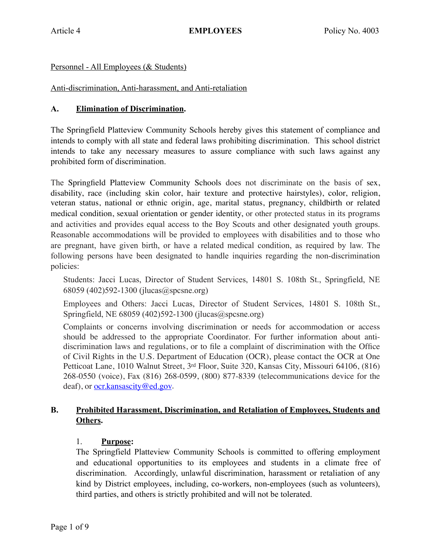## Personnel - All Employees (& Students)

### Anti-discrimination, Anti-harassment, and Anti-retaliation

### **A. Elimination of Discrimination.**

The Springfield Platteview Community Schools hereby gives this statement of compliance and intends to comply with all state and federal laws prohibiting discrimination. This school district intends to take any necessary measures to assure compliance with such laws against any prohibited form of discrimination.

The Springfield Platteview Community Schools does not discriminate on the basis of sex, disability, race (including skin color, hair texture and protective hairstyles), color, religion, veteran status, national or ethnic origin, age, marital status, pregnancy, childbirth or related medical condition, sexual orientation or gender identity, or other protected status in its programs and activities and provides equal access to the Boy Scouts and other designated youth groups. Reasonable accommodations will be provided to employees with disabilities and to those who are pregnant, have given birth, or have a related medical condition, as required by law. The following persons have been designated to handle inquiries regarding the non-discrimination policies:

Students: Jacci Lucas, Director of Student Services, 14801 S. 108th St., Springfield, NE 68059 (402)592-1300 (jlucas@spcsne.org)

Employees and Others: Jacci Lucas, Director of Student Services, 14801 S. 108th St., Springfield, NE 68059 (402)592-1300 (jlucas@spcsne.org)

Complaints or concerns involving discrimination or needs for accommodation or access should be addressed to the appropriate Coordinator. For further information about antidiscrimination laws and regulations, or to file a complaint of discrimination with the Office of Civil Rights in the U.S. Department of Education (OCR), please contact the OCR at One Petticoat Lane, 1010 Walnut Street, 3rd Floor, Suite 320, Kansas City, Missouri 64106, (816) 268-0550 (voice), Fax (816) 268-0599, (800) 877-8339 (telecommunications device for the deaf), or <u>ocr.kansascity@ed.gov</u>.

## **B. Prohibited Harassment, Discrimination, and Retaliation of Employees, Students and Others.**

## 1. **Purpose:**

The Springfield Platteview Community Schools is committed to offering employment and educational opportunities to its employees and students in a climate free of discrimination. Accordingly, unlawful discrimination, harassment or retaliation of any kind by District employees, including, co-workers, non-employees (such as volunteers), third parties, and others is strictly prohibited and will not be tolerated.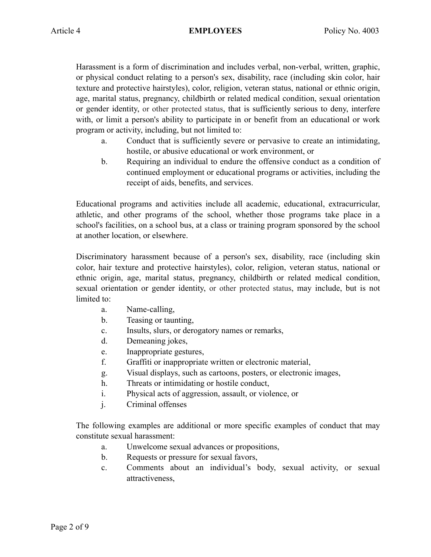Harassment is a form of discrimination and includes verbal, non-verbal, written, graphic, or physical conduct relating to a person's sex, disability, race (including skin color, hair texture and protective hairstyles), color, religion, veteran status, national or ethnic origin, age, marital status, pregnancy, childbirth or related medical condition, sexual orientation or gender identity, or other protected status, that is sufficiently serious to deny, interfere with, or limit a person's ability to participate in or benefit from an educational or work program or activity, including, but not limited to:

- a. Conduct that is sufficiently severe or pervasive to create an intimidating, hostile, or abusive educational or work environment, or
- b. Requiring an individual to endure the offensive conduct as a condition of continued employment or educational programs or activities, including the receipt of aids, benefits, and services.

Educational programs and activities include all academic, educational, extracurricular, athletic, and other programs of the school, whether those programs take place in a school's facilities, on a school bus, at a class or training program sponsored by the school at another location, or elsewhere.

Discriminatory harassment because of a person's sex, disability, race (including skin color, hair texture and protective hairstyles), color, religion, veteran status, national or ethnic origin, age, marital status, pregnancy, childbirth or related medical condition, sexual orientation or gender identity, or other protected status, may include, but is not limited to:

- a. Name-calling,
- b. Teasing or taunting,
- c. Insults, slurs, or derogatory names or remarks,
- d. Demeaning jokes,
- e. Inappropriate gestures,
- f. Graffiti or inappropriate written or electronic material,
- g. Visual displays, such as cartoons, posters, or electronic images,
- h. Threats or intimidating or hostile conduct,
- i. Physical acts of aggression, assault, or violence, or
- j. Criminal offenses

The following examples are additional or more specific examples of conduct that may constitute sexual harassment:

- a. Unwelcome sexual advances or propositions,
- b. Requests or pressure for sexual favors,
- c. Comments about an individual's body, sexual activity, or sexual attractiveness,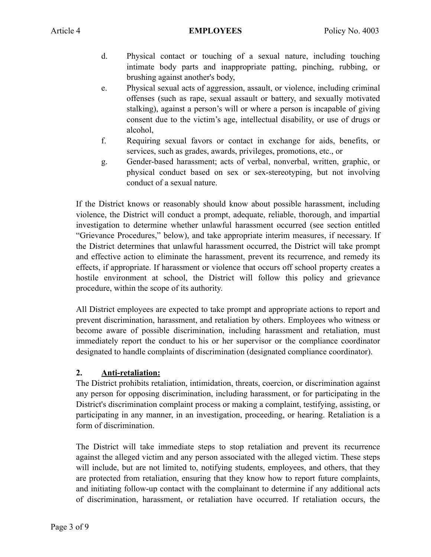- d. Physical contact or touching of a sexual nature, including touching intimate body parts and inappropriate patting, pinching, rubbing, or brushing against another's body,
- e. Physical sexual acts of aggression, assault, or violence, including criminal offenses (such as rape, sexual assault or battery, and sexually motivated stalking), against a person's will or where a person is incapable of giving consent due to the victim's age, intellectual disability, or use of drugs or alcohol,
- f. Requiring sexual favors or contact in exchange for aids, benefits, or services, such as grades, awards, privileges, promotions, etc., or
- g. Gender-based harassment; acts of verbal, nonverbal, written, graphic, or physical conduct based on sex or sex-stereotyping, but not involving conduct of a sexual nature.

If the District knows or reasonably should know about possible harassment, including violence, the District will conduct a prompt, adequate, reliable, thorough, and impartial investigation to determine whether unlawful harassment occurred (see section entitled "Grievance Procedures," below), and take appropriate interim measures, if necessary. If the District determines that unlawful harassment occurred, the District will take prompt and effective action to eliminate the harassment, prevent its recurrence, and remedy its effects, if appropriate. If harassment or violence that occurs off school property creates a hostile environment at school, the District will follow this policy and grievance procedure, within the scope of its authority.

All District employees are expected to take prompt and appropriate actions to report and prevent discrimination, harassment, and retaliation by others. Employees who witness or become aware of possible discrimination, including harassment and retaliation, must immediately report the conduct to his or her supervisor or the compliance coordinator designated to handle complaints of discrimination (designated compliance coordinator).

# **2. Anti-retaliation:**

The District prohibits retaliation, intimidation, threats, coercion, or discrimination against any person for opposing discrimination, including harassment, or for participating in the District's discrimination complaint process or making a complaint, testifying, assisting, or participating in any manner, in an investigation, proceeding, or hearing. Retaliation is a form of discrimination.

The District will take immediate steps to stop retaliation and prevent its recurrence against the alleged victim and any person associated with the alleged victim. These steps will include, but are not limited to, notifying students, employees, and others, that they are protected from retaliation, ensuring that they know how to report future complaints, and initiating follow-up contact with the complainant to determine if any additional acts of discrimination, harassment, or retaliation have occurred. If retaliation occurs, the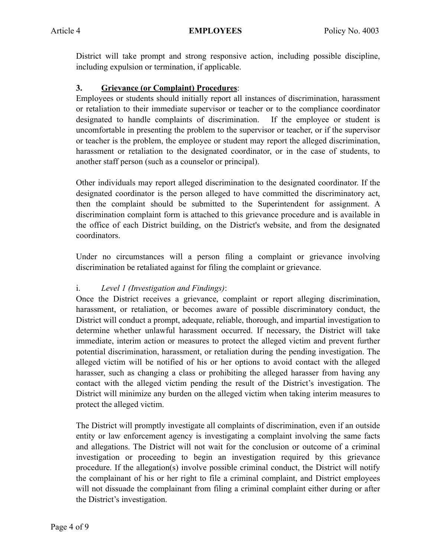District will take prompt and strong responsive action, including possible discipline, including expulsion or termination, if applicable.

# **3. Grievance (or Complaint) Procedures**:

Employees or students should initially report all instances of discrimination, harassment or retaliation to their immediate supervisor or teacher or to the compliance coordinator designated to handle complaints of discrimination. If the employee or student is uncomfortable in presenting the problem to the supervisor or teacher, or if the supervisor or teacher is the problem, the employee or student may report the alleged discrimination, harassment or retaliation to the designated coordinator, or in the case of students, to another staff person (such as a counselor or principal).

Other individuals may report alleged discrimination to the designated coordinator. If the designated coordinator is the person alleged to have committed the discriminatory act, then the complaint should be submitted to the Superintendent for assignment. A discrimination complaint form is attached to this grievance procedure and is available in the office of each District building, on the District's website, and from the designated coordinators.

Under no circumstances will a person filing a complaint or grievance involving discrimination be retaliated against for filing the complaint or grievance.

# i. *Level 1 (Investigation and Findings)*:

Once the District receives a grievance, complaint or report alleging discrimination, harassment, or retaliation, or becomes aware of possible discriminatory conduct, the District will conduct a prompt, adequate, reliable, thorough, and impartial investigation to determine whether unlawful harassment occurred. If necessary, the District will take immediate, interim action or measures to protect the alleged victim and prevent further potential discrimination, harassment, or retaliation during the pending investigation. The alleged victim will be notified of his or her options to avoid contact with the alleged harasser, such as changing a class or prohibiting the alleged harasser from having any contact with the alleged victim pending the result of the District's investigation. The District will minimize any burden on the alleged victim when taking interim measures to protect the alleged victim.

The District will promptly investigate all complaints of discrimination, even if an outside entity or law enforcement agency is investigating a complaint involving the same facts and allegations. The District will not wait for the conclusion or outcome of a criminal investigation or proceeding to begin an investigation required by this grievance procedure. If the allegation(s) involve possible criminal conduct, the District will notify the complainant of his or her right to file a criminal complaint, and District employees will not dissuade the complainant from filing a criminal complaint either during or after the District's investigation.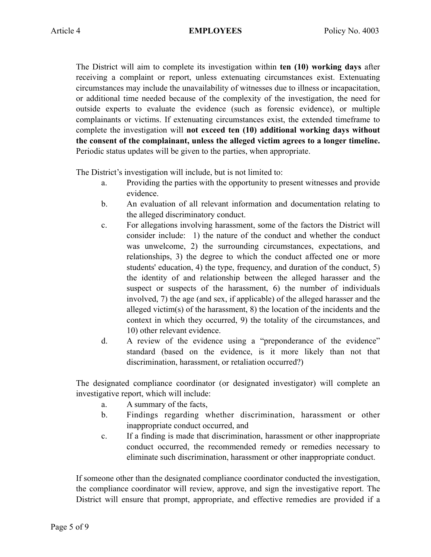The District will aim to complete its investigation within **ten (10) working days** after receiving a complaint or report, unless extenuating circumstances exist. Extenuating circumstances may include the unavailability of witnesses due to illness or incapacitation, or additional time needed because of the complexity of the investigation, the need for outside experts to evaluate the evidence (such as forensic evidence), or multiple complainants or victims. If extenuating circumstances exist, the extended timeframe to complete the investigation will **not exceed ten (10) additional working days without the consent of the complainant, unless the alleged victim agrees to a longer timeline.**  Periodic status updates will be given to the parties, when appropriate.

The District's investigation will include, but is not limited to:

- a. Providing the parties with the opportunity to present witnesses and provide evidence.
- b. An evaluation of all relevant information and documentation relating to the alleged discriminatory conduct.
- c. For allegations involving harassment, some of the factors the District will consider include: 1) the nature of the conduct and whether the conduct was unwelcome, 2) the surrounding circumstances, expectations, and relationships, 3) the degree to which the conduct affected one or more students' education, 4) the type, frequency, and duration of the conduct, 5) the identity of and relationship between the alleged harasser and the suspect or suspects of the harassment, 6) the number of individuals involved, 7) the age (and sex, if applicable) of the alleged harasser and the alleged victim(s) of the harassment, 8) the location of the incidents and the context in which they occurred, 9) the totality of the circumstances, and 10) other relevant evidence.
- d. A review of the evidence using a "preponderance of the evidence" standard (based on the evidence, is it more likely than not that discrimination, harassment, or retaliation occurred?)

The designated compliance coordinator (or designated investigator) will complete an investigative report, which will include:

- a. A summary of the facts,
- b. Findings regarding whether discrimination, harassment or other inappropriate conduct occurred, and
- c. If a finding is made that discrimination, harassment or other inappropriate conduct occurred, the recommended remedy or remedies necessary to eliminate such discrimination, harassment or other inappropriate conduct.

If someone other than the designated compliance coordinator conducted the investigation, the compliance coordinator will review, approve, and sign the investigative report. The District will ensure that prompt, appropriate, and effective remedies are provided if a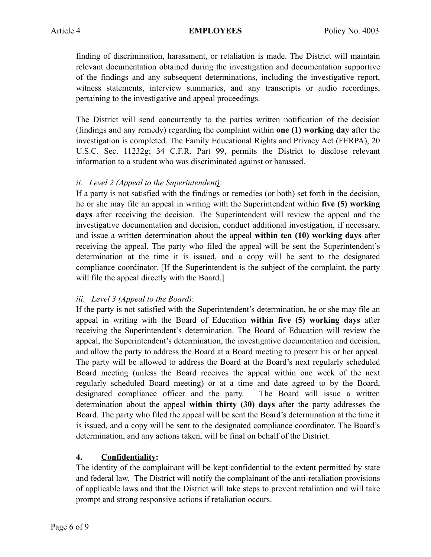finding of discrimination, harassment, or retaliation is made. The District will maintain relevant documentation obtained during the investigation and documentation supportive of the findings and any subsequent determinations, including the investigative report, witness statements, interview summaries, and any transcripts or audio recordings, pertaining to the investigative and appeal proceedings.

The District will send concurrently to the parties written notification of the decision (findings and any remedy) regarding the complaint within **one (1) working day** after the investigation is completed. The Family Educational Rights and Privacy Act (FERPA), 20 U.S.C. Sec. 11232g; 34 C.F.R. Part 99, permits the District to disclose relevant information to a student who was discriminated against or harassed.

## *ii. Level 2 (Appeal to the Superintendent)*:

If a party is not satisfied with the findings or remedies (or both) set forth in the decision, he or she may file an appeal in writing with the Superintendent within **five (5) working days** after receiving the decision. The Superintendent will review the appeal and the investigative documentation and decision, conduct additional investigation, if necessary, and issue a written determination about the appeal **within ten (10) working days** after receiving the appeal. The party who filed the appeal will be sent the Superintendent's determination at the time it is issued, and a copy will be sent to the designated compliance coordinator. [If the Superintendent is the subject of the complaint, the party will file the appeal directly with the Board.]

# *iii. Level 3 (Appeal to the Board)*:

If the party is not satisfied with the Superintendent's determination, he or she may file an appeal in writing with the Board of Education **within five (5) working days** after receiving the Superintendent's determination. The Board of Education will review the appeal, the Superintendent's determination, the investigative documentation and decision, and allow the party to address the Board at a Board meeting to present his or her appeal. The party will be allowed to address the Board at the Board's next regularly scheduled Board meeting (unless the Board receives the appeal within one week of the next regularly scheduled Board meeting) or at a time and date agreed to by the Board, designated compliance officer and the party. The Board will issue a written determination about the appeal **within thirty (30) days** after the party addresses the Board. The party who filed the appeal will be sent the Board's determination at the time it is issued, and a copy will be sent to the designated compliance coordinator. The Board's determination, and any actions taken, will be final on behalf of the District.

## **4. Confidentiality:**

The identity of the complainant will be kept confidential to the extent permitted by state and federal law. The District will notify the complainant of the anti-retaliation provisions of applicable laws and that the District will take steps to prevent retaliation and will take prompt and strong responsive actions if retaliation occurs.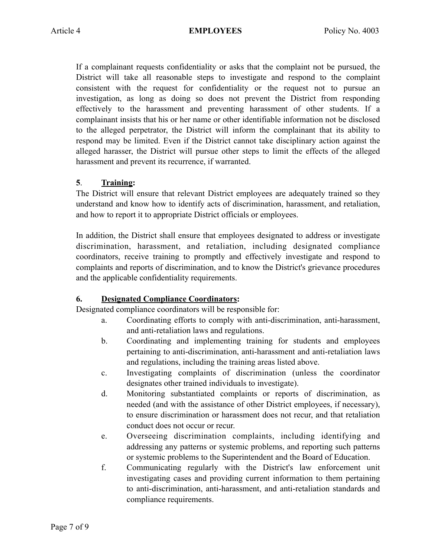If a complainant requests confidentiality or asks that the complaint not be pursued, the District will take all reasonable steps to investigate and respond to the complaint consistent with the request for confidentiality or the request not to pursue an investigation, as long as doing so does not prevent the District from responding effectively to the harassment and preventing harassment of other students. If a complainant insists that his or her name or other identifiable information not be disclosed to the alleged perpetrator, the District will inform the complainant that its ability to respond may be limited. Even if the District cannot take disciplinary action against the alleged harasser, the District will pursue other steps to limit the effects of the alleged harassment and prevent its recurrence, if warranted.

## **5**. **Training:**

The District will ensure that relevant District employees are adequately trained so they understand and know how to identify acts of discrimination, harassment, and retaliation, and how to report it to appropriate District officials or employees.

In addition, the District shall ensure that employees designated to address or investigate discrimination, harassment, and retaliation, including designated compliance coordinators, receive training to promptly and effectively investigate and respond to complaints and reports of discrimination, and to know the District's grievance procedures and the applicable confidentiality requirements.

# **6. Designated Compliance Coordinators:**

Designated compliance coordinators will be responsible for:

- a. Coordinating efforts to comply with anti-discrimination, anti-harassment, and anti-retaliation laws and regulations.
- b. Coordinating and implementing training for students and employees pertaining to anti-discrimination, anti-harassment and anti-retaliation laws and regulations, including the training areas listed above.
- c. Investigating complaints of discrimination (unless the coordinator designates other trained individuals to investigate).
- d. Monitoring substantiated complaints or reports of discrimination, as needed (and with the assistance of other District employees, if necessary), to ensure discrimination or harassment does not recur, and that retaliation conduct does not occur or recur.
- e. Overseeing discrimination complaints, including identifying and addressing any patterns or systemic problems, and reporting such patterns or systemic problems to the Superintendent and the Board of Education.
- f. Communicating regularly with the District's law enforcement unit investigating cases and providing current information to them pertaining to anti-discrimination, anti-harassment, and anti-retaliation standards and compliance requirements.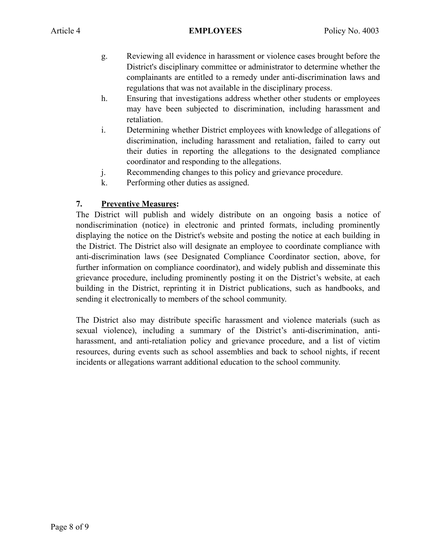- g. Reviewing all evidence in harassment or violence cases brought before the District's disciplinary committee or administrator to determine whether the complainants are entitled to a remedy under anti-discrimination laws and regulations that was not available in the disciplinary process.
- h. Ensuring that investigations address whether other students or employees may have been subjected to discrimination, including harassment and retaliation.
- i. Determining whether District employees with knowledge of allegations of discrimination, including harassment and retaliation, failed to carry out their duties in reporting the allegations to the designated compliance coordinator and responding to the allegations.
- j. Recommending changes to this policy and grievance procedure.
- k. Performing other duties as assigned.

# **7. Preventive Measures:**

The District will publish and widely distribute on an ongoing basis a notice of nondiscrimination (notice) in electronic and printed formats, including prominently displaying the notice on the District's website and posting the notice at each building in the District. The District also will designate an employee to coordinate compliance with anti-discrimination laws (see Designated Compliance Coordinator section, above, for further information on compliance coordinator), and widely publish and disseminate this grievance procedure, including prominently posting it on the District's website, at each building in the District, reprinting it in District publications, such as handbooks, and sending it electronically to members of the school community.

The District also may distribute specific harassment and violence materials (such as sexual violence), including a summary of the District's anti-discrimination, antiharassment, and anti-retaliation policy and grievance procedure, and a list of victim resources, during events such as school assemblies and back to school nights, if recent incidents or allegations warrant additional education to the school community.